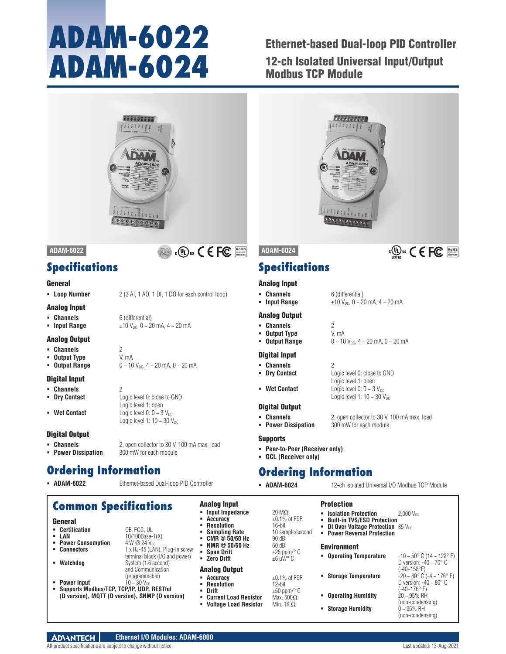# **ADAM-6022 ADAM-6024**

# Ethernet-based Dual-loop PID Controller

12-ch Isolated Universal Input/Output Modbus TCP Module



### **ADAM-6022**

# **Specifications**

### **General**

**Loop Number** 2 (3 Al, 1 AO, 1 DI, 1 DO for each control loop)

### Analog Input

**Channels** 6 (differential)<br>**Property 10**  $\frac{10}{x}$  (differential)

### Analog Output

- **Channels** 2
- **Output Type** V, mA
- 

### Digital Input

**channels** 2<br>**Phy Contact** 

- 
- **Wet Contact** Logic level  $0: 0 \sim 3$  V<sub>DC</sub>

### Digital Output

- 
- **Channels** 2, open collector to 30 V, 100 mA max. load<br>**Power Dissipation** 300 mW for each module

# **Ordering Information**

**ADAM-6022** Ethernet-based Dual-loop PID Controller

10/100Base-T(X)<br>4 W @ 24 V<sub>DC</sub>

and Communication (programmable)

 **Connectors** 1 x RJ-45 (LAN), Plug-in screw terminal block (I/O and power)

# **Common Specifications**

### General

- **Certification**<br> **CE, FCC, UL**<br> **CE, FCC, UL**<br>
10/100Base-
- 
- **Power Consumption**<br>Connectors
- **Watchdog** System (1.6 second)
- 
- **Power Input**  $10 30$  V<sub>DC</sub>
- **Supports Modbus/TCP, TCP/IP, UDP, RESTful (D version), MQTT (D version), SNMP (D version)**

### Analog Input

- 
- 
- **Resolution<br>Sampling Rate**
- 
- **CMR @ 50/60 Hz** 90 dB<br>**NMR @ 50/60 Hz** 60 dB
- **NMR @ 50/60 Hz<br>Span Drift**

### Analog Output

- 
- **Resolution**<br>Drift
- 
- **Current Load Resistor** Max. 500Ω<br>**Voltage Load Resistor** Min. 1KΩ **Voltage Load Resistor**
- 

| <b><i>CITATSONAS</i></b><br>Musicouri<br><b>ACQUISITION</b> | <b>Opper</b><br>≈<br><b>GG</b><br>ಷ<br>DATA | <b>ADAM-6024</b><br><b>INPUT RANGE</b><br>$1 - 195$<br>830V<br>$9 - 72 + 4$ |  |
|-------------------------------------------------------------|---------------------------------------------|-----------------------------------------------------------------------------|--|
| <b>MODULE</b><br><b>SIGNAL!</b><br>OUTPUT:<br>Ethernet      | 3006<br><b>V.mA</b><br>٠<br>÷               | <b>OUTFUT AANVEL</b><br>$2 - 26$ me<br>$4 - 24 - 4$<br>$9 - 192$            |  |
|                                                             |                                             |                                                                             |  |

3555555555

# **Specifications ADAM-6024**

### Analog Input

RoHS **COMPLIANT 2002/95/EC**

### Analog Output

- **Channels** 2 **Output Type** V, mA
- 

### Digital Input

- 
- 
- **Wet Contact** Logic level  $0: 0 \sim 3$  V<sub>DC</sub>

### Digital Output

- **Channels** 2, open collector to 30 V, 100 mA max. load
- **Power Dissipation** 300 mW for each module

### Supports

- **Peer-to-Peer (Receiver only)**
	-

# **Ordering Information**

- 
- **Input Impedance** 20 MΩ<br>**Accuracy** ± 0.1% **Accuracy** ±0.1% of FSR 10 sample/second<br>90 dB **Span Drift**  $\pm 25$  ppm/° C<br>**Zero Drift**  $\pm 6$  uV/° C **Zero Drift** ±6 μV/° C **Accuracy**  $\pm 0.1\%$  of FSR<br>**Resolution** 12-bit  $\pm$ 50 ppm/ $\degree$  C<br>Max. 500 $\Omega$



 **Channels** 6 (differential)  $\pm 10$  V<sub>DC</sub>, 0 ~ 20 mA, 4 ~ 20 mA

Logic level 0: close to GND Logic level 1: open

- 
- **Output Range**  $0 \sim 10 \text{ V}_{DC}$ ,  $4 \sim 20 \text{ mA}$ ,  $0 \sim 20 \text{ mA}$

- **channels** 2<br>**Pry Contact**
- 

## Logic level 1:  $10 \sim 30$  V<sub>DC</sub>

- 
- 

- 
- **GCL (Receiver only)**

**ADAM-6024** 12-ch Isolated Universal I/O Modbus TCP Module

### Protection

- **Isolation Protection** 2,000 V<sub>DC</sub> **Built-in TVS/ESD Protection**
- **DI Over Voltage Protection** 35 V<sub>DC</sub><br>**Bower Reversal Protection Power Reversal Protection**

### Environment

| $-10 \sim 50^{\circ}$ C (14 ~ 122° F)              |
|----------------------------------------------------|
| D version: $-40 \approx 70^{\circ}$ C              |
| (-40~158°F)                                        |
| $-20 \sim 80^{\circ}$ C ( $-4 \sim 176^{\circ}$ F) |
| D version: $-40 \sim 80^\circ$ C                   |
| $(-40 - 176^{\circ} F)$                            |
| $20 \sim 95\%$ RH                                  |
| (non-condensing)                                   |
| $0 - 95%$ RH                                       |
| (non-condensing)                                   |
|                                                    |

 $\pm 10$  V<sub>DC</sub>, 0 ~ 20 mA, 4 ~ 20 mA

**• Output Range**  $0 \sim 10 \text{ V}_{DC}$ ,  $4 \sim 20 \text{ mA}$ ,  $0 \sim 20 \text{ mA}$ 

Logic level 0: close to GND Logic level 1: open

Logic level 1:  $10 - 30$  V<sub>DC</sub>

**300 mW for each module**